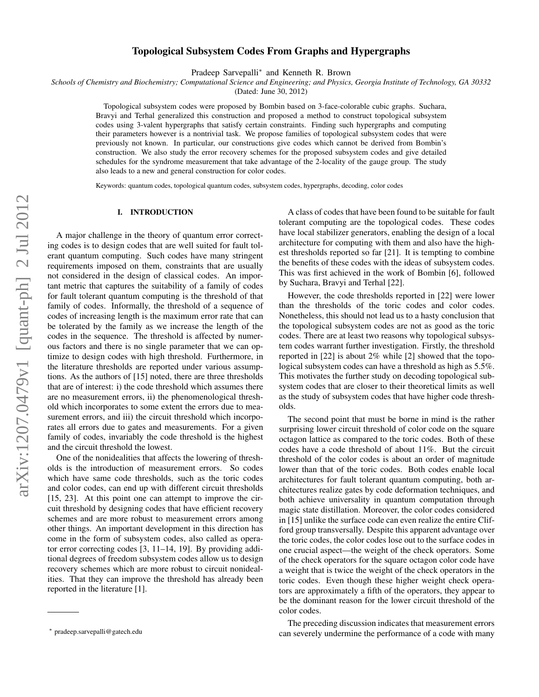# Topological Subsystem Codes From Graphs and Hypergraphs

Pradeep Sarvepalli<sup>∗</sup> and Kenneth R. Brown

*Schools of Chemistry and Biochemistry; Computational Science and Engineering; and Physics, Georgia Institute of Technology, GA 30332*

(Dated: June 30, 2012)

Topological subsystem codes were proposed by Bombin based on 3-face-colorable cubic graphs. Suchara, Bravyi and Terhal generalized this construction and proposed a method to construct topological subsystem codes using 3-valent hypergraphs that satisfy certain constraints. Finding such hypergraphs and computing their parameters however is a nontrivial task. We propose families of topological subsystem codes that were previously not known. In particular, our constructions give codes which cannot be derived from Bombin's construction. We also study the error recovery schemes for the proposed subsystem codes and give detailed schedules for the syndrome measurement that take advantage of the 2-locality of the gauge group. The study also leads to a new and general construction for color codes.

Keywords: quantum codes, topological quantum codes, subsystem codes, hypergraphs, decoding, color codes

# I. INTRODUCTION

A major challenge in the theory of quantum error correcting codes is to design codes that are well suited for fault tolerant quantum computing. Such codes have many stringent requirements imposed on them, constraints that are usually not considered in the design of classical codes. An important metric that captures the suitability of a family of codes for fault tolerant quantum computing is the threshold of that family of codes. Informally, the threshold of a sequence of codes of increasing length is the maximum error rate that can be tolerated by the family as we increase the length of the codes in the sequence. The threshold is affected by numerous factors and there is no single parameter that we can optimize to design codes with high threshold. Furthermore, in the literature thresholds are reported under various assumptions. As the authors of [15] noted, there are three thresholds that are of interest: i) the code threshold which assumes there are no measurement errors, ii) the phenomenological threshold which incorporates to some extent the errors due to measurement errors, and iii) the circuit threshold which incorporates all errors due to gates and measurements. For a given family of codes, invariably the code threshold is the highest and the circuit threshold the lowest.

One of the nonidealities that affects the lowering of thresholds is the introduction of measurement errors. So codes which have same code thresholds, such as the toric codes and color codes, can end up with different circuit thresholds [15, 23]. At this point one can attempt to improve the circuit threshold by designing codes that have efficient recovery schemes and are more robust to measurement errors among other things. An important development in this direction has come in the form of subsystem codes, also called as operator error correcting codes [3, 11–14, 19]. By providing additional degrees of freedom subsystem codes allow us to design recovery schemes which are more robust to circuit nonidealities. That they can improve the threshold has already been reported in the literature [1].

A class of codes that have been found to be suitable for fault tolerant computing are the topological codes. These codes have local stabilizer generators, enabling the design of a local architecture for computing with them and also have the highest thresholds reported so far [21]. It is tempting to combine the benefits of these codes with the ideas of subsystem codes. This was first achieved in the work of Bombin [6], followed by Suchara, Bravyi and Terhal [22].

However, the code thresholds reported in [22] were lower than the thresholds of the toric codes and color codes. Nonetheless, this should not lead us to a hasty conclusion that the topological subsystem codes are not as good as the toric codes. There are at least two reasons why topological subsystem codes warrant further investigation. Firstly, the threshold reported in [22] is about 2% while [2] showed that the topological subsystem codes can have a threshold as high as 5.5%. This motivates the further study on decoding topological subsystem codes that are closer to their theoretical limits as well as the study of subsystem codes that have higher code thresholds.

The second point that must be borne in mind is the rather surprising lower circuit threshold of color code on the square octagon lattice as compared to the toric codes. Both of these codes have a code threshold of about 11%. But the circuit threshold of the color codes is about an order of magnitude lower than that of the toric codes. Both codes enable local architectures for fault tolerant quantum computing, both architectures realize gates by code deformation techniques, and both achieve universality in quantum computation through magic state distillation. Moreover, the color codes considered in [15] unlike the surface code can even realize the entire Clifford group transversally. Despite this apparent advantage over the toric codes, the color codes lose out to the surface codes in one crucial aspect—the weight of the check operators. Some of the check operators for the square octagon color code have a weight that is twice the weight of the check operators in the toric codes. Even though these higher weight check operators are approximately a fifth of the operators, they appear to be the dominant reason for the lower circuit threshold of the color codes.

The preceding discussion indicates that measurement errors can severely undermine the performance of a code with many

<sup>∗</sup> pradeep.sarvepalli@gatech.edu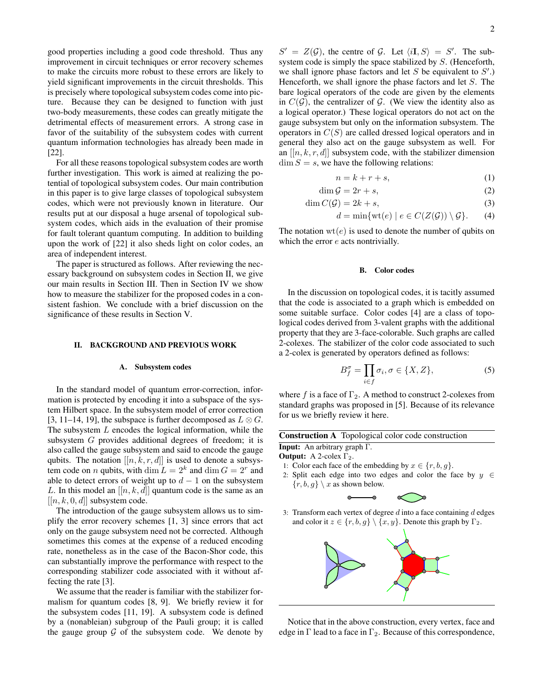good properties including a good code threshold. Thus any improvement in circuit techniques or error recovery schemes to make the circuits more robust to these errors are likely to yield significant improvements in the circuit thresholds. This is precisely where topological subsystem codes come into picture. Because they can be designed to function with just two-body measurements, these codes can greatly mitigate the detrimental effects of measurement errors. A strong case in favor of the suitability of the subsystem codes with current quantum information technologies has already been made in [22].

For all these reasons topological subsystem codes are worth further investigation. This work is aimed at realizing the potential of topological subsystem codes. Our main contribution in this paper is to give large classes of topological subsystem codes, which were not previously known in literature. Our results put at our disposal a huge arsenal of topological subsystem codes, which aids in the evaluation of their promise for fault tolerant quantum computing. In addition to building upon the work of [22] it also sheds light on color codes, an area of independent interest.

The paper is structured as follows. After reviewing the necessary background on subsystem codes in Section II, we give our main results in Section III. Then in Section IV we show how to measure the stabilizer for the proposed codes in a consistent fashion. We conclude with a brief discussion on the significance of these results in Section V.

#### II. BACKGROUND AND PREVIOUS WORK

### A. Subsystem codes

In the standard model of quantum error-correction, information is protected by encoding it into a subspace of the system Hilbert space. In the subsystem model of error correction [3, 11–14, 19], the subspace is further decomposed as  $L \otimes G$ . The subsystem L encodes the logical information, while the subsystem G provides additional degrees of freedom; it is also called the gauge subsystem and said to encode the gauge qubits. The notation  $[[n, k, r, d]]$  is used to denote a subsystem code on *n* qubits, with  $\dim L = 2^k$  and  $\dim G = 2^r$  and able to detect errors of weight up to  $d-1$  on the subsystem L. In this model an  $[[n, k, d]]$  quantum code is the same as an  $[|n, k, 0, d|]$  subsystem code.

The introduction of the gauge subsystem allows us to simplify the error recovery schemes [1, 3] since errors that act only on the gauge subsystem need not be corrected. Although sometimes this comes at the expense of a reduced encoding rate, nonetheless as in the case of the Bacon-Shor code, this can substantially improve the performance with respect to the corresponding stabilizer code associated with it without affecting the rate [3].

We assume that the reader is familiar with the stabilizer formalism for quantum codes [8, 9]. We briefly review it for the subsystem codes [11, 19]. A subsystem code is defined by a (nonableian) subgroup of the Pauli group; it is called the gauge group  $G$  of the subsystem code. We denote by

 $S' = Z(\mathcal{G})$ , the centre of  $\mathcal{G}$ . Let  $\langle iI, S \rangle = S'$ . The subsystem code is simply the space stabilized by S. (Henceforth, we shall ignore phase factors and let  $S$  be equivalent to  $S'$ .) Henceforth, we shall ignore the phase factors and let S. The bare logical operators of the code are given by the elements in  $C(G)$ , the centralizer of G. (We view the identity also as a logical operator.) These logical operators do not act on the gauge subsystem but only on the information subsystem. The operators in  $C(S)$  are called dressed logical operators and in general they also act on the gauge subsystem as well. For an  $[[n, k, r, d]]$  subsystem code, with the stabilizer dimension  $\dim S = s$ , we have the following relations:

$$
n = k + r + s,\tag{1}
$$

$$
\dim \mathcal{G} = 2r + s,\tag{2}
$$

$$
\dim C(\mathcal{G}) = 2k + s,\tag{3}
$$

$$
d = \min\{\text{wt}(e) \mid e \in C(Z(\mathcal{G})) \setminus \mathcal{G}\}. \tag{4}
$$

The notation  $wt(e)$  is used to denote the number of qubits on which the error  $e$  acts nontrivially.

## B. Color codes

In the discussion on topological codes, it is tacitly assumed that the code is associated to a graph which is embedded on some suitable surface. Color codes [4] are a class of topological codes derived from 3-valent graphs with the additional property that they are 3-face-colorable. Such graphs are called 2-colexes. The stabilizer of the color code associated to such a 2-colex is generated by operators defined as follows:

$$
B_f^{\sigma} = \prod_{i \in f} \sigma_i, \sigma \in \{X, Z\},\tag{5}
$$

where f is a face of  $\Gamma_2$ . A method to construct 2-colexes from standard graphs was proposed in [5]. Because of its relevance for us we briefly review it here.

| <b>Construction A</b> Topological color code construction                               |
|-----------------------------------------------------------------------------------------|
| <b>Input:</b> An arbitrary graph $\Gamma$ .                                             |
| <b>Output:</b> A 2-colex $\Gamma_2$ .                                                   |
| 1: Color each face of the embedding by $x \in \{r, b, g\}$ .                            |
| 2: Split each edge into two edges and color the face by $y \in$                         |
| $\{r, b, g\} \setminus x$ as shown below.                                               |
|                                                                                         |
| 3: Transform each vertex of degree $d$ into a face containing $d$ edges                 |
| and color it $z \in \{r, b, g\} \setminus \{x, y\}$ . Denote this graph by $\Gamma_2$ . |
|                                                                                         |



Notice that in the above construction, every vertex, face and edge in  $\Gamma$  lead to a face in  $\Gamma_2$ . Because of this correspondence,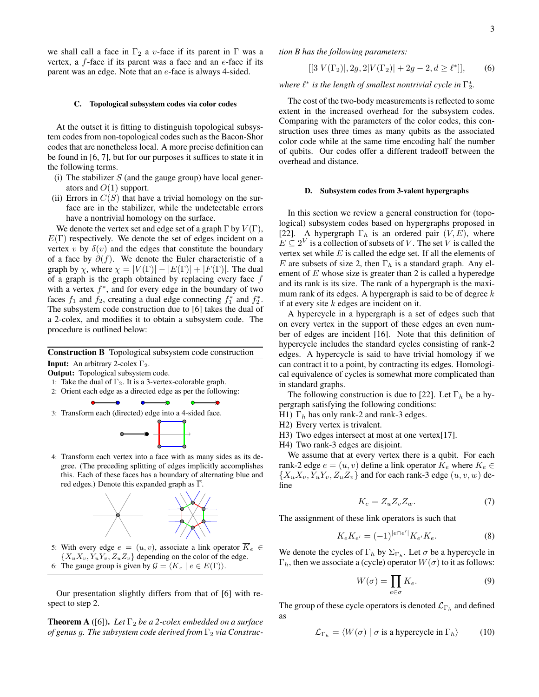we shall call a face in  $\Gamma_2$  a v-face if its parent in  $\Gamma$  was a vertex, a  $f$ -face if its parent was a face and an  $e$ -face if its parent was an edge. Note that an e-face is always 4-sided.

### C. Topological subsystem codes via color codes

At the outset it is fitting to distinguish topological subsystem codes from non-topological codes such as the Bacon-Shor codes that are nonetheless local. A more precise definition can be found in [6, 7], but for our purposes it suffices to state it in the following terms.

- (i) The stabilizer  $S$  (and the gauge group) have local generators and  $O(1)$  support.
- (ii) Errors in  $C(S)$  that have a trivial homology on the surface are in the stabilizer, while the undetectable errors have a nontrivial homology on the surface.

We denote the vertex set and edge set of a graph  $\Gamma$  by  $V(\Gamma)$ ,  $E(\Gamma)$  respectively. We denote the set of edges incident on a vertex v by  $\delta(v)$  and the edges that constitute the boundary of a face by  $\partial(f)$ . We denote the Euler characteristic of a graph by  $\chi$ , where  $\chi = |V(\Gamma)| - |E(\Gamma)| + |F(\Gamma)|$ . The dual of a graph is the graph obtained by replacing every face  $f$ with a vertex  $f^*$ , and for every edge in the boundary of two faces  $f_1$  and  $f_2$ , creating a dual edge connecting  $f_1^*$  and  $f_2^*$ . The subsystem code construction due to [6] takes the dual of a 2-colex, and modifies it to obtain a subsystem code. The procedure is outlined below:

# Construction B Topological subsystem code construction

**Input:** An arbitrary 2-colex  $\Gamma_2$ .

Output: Topological subsystem code.

 $\bullet$ 

- 1: Take the dual of  $\Gamma_2$ . It is a 3-vertex-colorable graph.
- 2: Orient each edge as a directed edge as per the following:  $\bullet$
- 3: Transform each (directed) edge into a 4-sided face.



 $\overline{a}$ 

 $\bullet$ 

4: Transform each vertex into a face with as many sides as its degree. (The preceding splitting of edges implicitly accomplishes this. Each of these faces has a boundary of alternating blue and red edges.) Denote this expanded graph as Γ.



5: With every edge  $e = (u, v)$ , associate a link operator  $\overline{K}_e \in$  ${X_uX_v, Y_uY_v, Z_uZ_v}$  depending on the color of the edge. 6: The gauge group is given by  $\mathcal{G} = \langle \overline{K}_e \mid e \in E(\overline{\Gamma}) \rangle$ .

Our presentation slightly differs from that of [6] with respect to step 2.

**Theorem A** ([6]). Let  $\Gamma_2$  be a 2-colex embedded on a surface *of genus* g*. The subsystem code derived from* Γ<sup>2</sup> *via Construc-* *tion B has the following parameters:*

$$
[[3|V(\Gamma_2)|, 2g, 2|V(\Gamma_2)| + 2g - 2, d \geq \ell^*]], \qquad (6)
$$

where  $\ell^*$  is the length of smallest nontrivial cycle in  $\Gamma^*_2$ .

The cost of the two-body measurements is reflected to some extent in the increased overhead for the subsystem codes. Comparing with the parameters of the color codes, this construction uses three times as many qubits as the associated color code while at the same time encoding half the number of qubits. Our codes offer a different tradeoff between the overhead and distance.

#### D. Subsystem codes from 3-valent hypergraphs

In this section we review a general construction for (topological) subsystem codes based on hypergraphs proposed in [22]. A hypergraph  $\Gamma_h$  is an ordered pair  $(V, E)$ , where  $E \subseteq 2^V$  is a collection of subsets of V. The set V is called the vertex set while  $E$  is called the edge set. If all the elements of E are subsets of size 2, then  $\Gamma_h$  is a standard graph. Any element of  $E$  whose size is greater than 2 is called a hyperedge and its rank is its size. The rank of a hypergraph is the maximum rank of its edges. A hypergraph is said to be of degree  $k$ if at every site  $k$  edges are incident on it.

A hypercycle in a hypergraph is a set of edges such that on every vertex in the support of these edges an even number of edges are incident [16]. Note that this definition of hypercycle includes the standard cycles consisting of rank-2 edges. A hypercycle is said to have trivial homology if we can contract it to a point, by contracting its edges. Homological equivalence of cycles is somewhat more complicated than in standard graphs.

The following construction is due to [22]. Let  $\Gamma_h$  be a hypergraph satisfying the following conditions:

- H1)  $\Gamma_h$  has only rank-2 and rank-3 edges.
- H2) Every vertex is trivalent.
- H3) Two edges intersect at most at one vertex[17].

H4) Two rank-3 edges are disjoint.

We assume that at every vertex there is a qubit. For each rank-2 edge  $e = (u, v)$  define a link operator  $K_e$  where  $K_e \in$  $\{X_uX_v, Y_uY_v, Z_uZ_v\}$  and for each rank-3 edge  $(u, v, w)$  define

$$
K_e = Z_u Z_v Z_w. \tag{7}
$$

The assignment of these link operators is such that

$$
K_e K_{e'} = (-1)^{|e \cap e'|} K_{e'} K_e.
$$
 (8)

We denote the cycles of  $\Gamma_h$  by  $\Sigma_{\Gamma_h}$ . Let  $\sigma$  be a hypercycle in  $\Gamma_h$ , then we associate a (cycle) operator  $W(\sigma)$  to it as follows:

$$
W(\sigma) = \prod_{e \in \sigma} K_e.
$$
 (9)

The group of these cycle operators is denoted  $\mathcal{L}_{\Gamma_h}$  and defined as

$$
\mathcal{L}_{\Gamma_h} = \langle W(\sigma) \mid \sigma \text{ is a hypercycle in } \Gamma_h \rangle \tag{10}
$$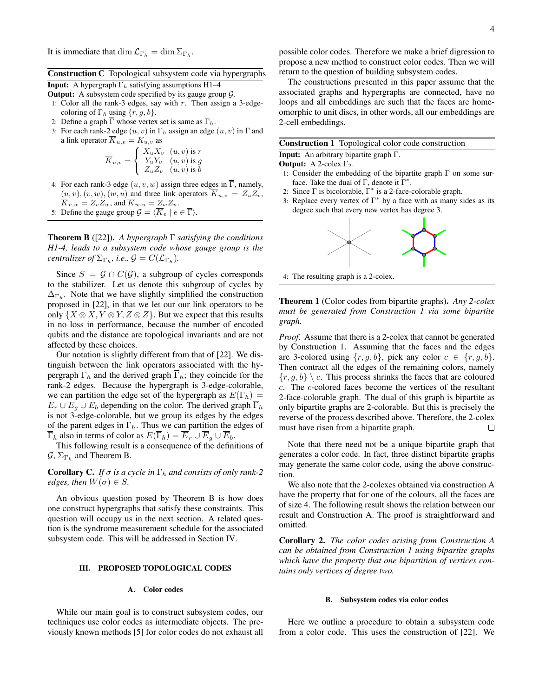It is immediate that  $\dim \mathcal{L}_{\Gamma_h} = \dim \Sigma_{\Gamma_h}$ .

Construction C Topological subsystem code via hypergraphs **Input:** A hypergraph  $\Gamma_h$  satisfying assumptions H1–4

**Output:** A subsystem code specified by its gauge group  $\mathcal{G}$ .

- 1: Color all the rank-3 edges, say with  $r$ . Then assign a 3-edgecoloring of  $\Gamma_h$  using  $\{r, q, b\}$ .
- 2: Define a graph  $\overline{\Gamma}$  whose vertex set is same as  $\Gamma_h$ .
- 3: For each rank-2 edge  $(u, v)$  in  $\Gamma_h$  assign an edge  $(u, v)$  in  $\overline{\Gamma}$  and a link operator  $\overline{K}_{u,v} = K_{u,v}$  as

$$
\overline{K}_{u,v} = \begin{cases} X_u X_v & (u, v) \text{ is } r \\ Y_u Y_v & (u, v) \text{ is } g \\ Z_u Z_v & (u, v) \text{ is } b \end{cases}
$$

- 4: For each rank-3 edge  $(u, v, w)$  assign three edges in  $\overline{\Gamma}$ , namely,  $(u, v), (v, w), (w, u)$  and three link operators  $\overline{K}_{u,v} = Z_u Z_v$ ,  $\overline{K}_{v,w} = Z_v Z_w$ , and  $\overline{K}_{w,u} = Z_w Z_u$ .
- 5: Define the gauge group  $\mathcal{G} = \langle \overline{K}_e \mid e \in \overline{\Gamma} \rangle$ .

Theorem B ([22]). *A hypergraph* Γ *satisfying the conditions H1-4, leads to a subsystem code whose gauge group is the centralizer of*  $\Sigma_{\Gamma_h}$ , *i.e.*,  $\mathcal{G} = C(\mathcal{L}_{\Gamma_h})$ .

Since  $S = \mathcal{G} \cap C(\mathcal{G})$ , a subgroup of cycles corresponds to the stabilizer. Let us denote this subgroup of cycles by  $\Delta_{\Gamma_h}$ . Note that we have slightly simplified the construction proposed in [22], in that we let our our link operators to be only  $\{X \otimes X, Y \otimes Y, Z \otimes Z\}$ . But we expect that this results in no loss in performance, because the number of encoded qubits and the distance are topological invariants and are not affected by these choices.

Our notation is slightly different from that of [22]. We distinguish between the link operators associated with the hypergraph  $\Gamma_h$  and the derived graph  $\Gamma_h$ ; they coincide for the rank-2 edges. Because the hypergraph is 3-edge-colorable, we can partition the edge set of the hypergraph as  $E(\Gamma_h)$  =  $E_r \cup E_q \cup E_b$  depending on the color. The derived graph  $\Gamma_h$ is not 3-edge-colorable, but we group its edges by the edges of the parent edges in  $\Gamma_h$ . Thus we can partition the edges of  $\overline{\Gamma}_h$  also in terms of color as  $E(\overline{\Gamma}_h) = \overline{E}_r \cup \overline{E}_g \cup \overline{E}_b$ .

This following result is a consequence of the definitions of  $\mathcal{G}, \Sigma_{\Gamma_h}$  and Theorem B.

**Corollary C.** *If*  $\sigma$  *is a cycle in*  $\Gamma_h$  *and consists of only rank-2 edges, then*  $W(\sigma) \in S$ .

An obvious question posed by Theorem B is how does one construct hypergraphs that satisfy these constraints. This question will occupy us in the next section. A related question is the syndrome measurement schedule for the associated subsystem code. This will be addressed in Section IV.

### III. PROPOSED TOPOLOGICAL CODES

### A. Color codes

While our main goal is to construct subsystem codes, our techniques use color codes as intermediate objects. The previously known methods [5] for color codes do not exhaust all possible color codes. Therefore we make a brief digression to propose a new method to construct color codes. Then we will return to the question of building subsystem codes.

The constructions presented in this paper assume that the associated graphs and hypergraphs are connected, have no loops and all embeddings are such that the faces are homeomorphic to unit discs, in other words, all our embeddings are 2-cell embeddings.

| <b>Construction 1</b> Topological color code construction |  |  |  |  |  |  |
|-----------------------------------------------------------|--|--|--|--|--|--|
|-----------------------------------------------------------|--|--|--|--|--|--|

Input: An arbitrary bipartite graph Γ.

**Output:** A 2-colex  $\Gamma_2$ .

- 1: Consider the embedding of the bipartite graph  $\Gamma$  on some surface. Take the dual of  $\Gamma$ , denote it  $\Gamma^*$ .
- 2: Since  $\Gamma$  is bicolorable,  $\Gamma^*$  is a 2-face-colorable graph.
- 3: Replace every vertex of  $\Gamma^*$  by a face with as many sides as its degree such that every new vertex has degree 3.



4: The resulting graph is a 2-colex.

Theorem 1 (Color codes from bipartite graphs). *Any 2-colex must be generated from Construction 1 via some bipartite graph.*

*Proof.* Assume that there is a 2-colex that cannot be generated by Construction 1. Assuming that the faces and the edges are 3-colored using  $\{r, g, b\}$ , pick any color  $c \in \{r, g, b\}$ . Then contract all the edges of the remaining colors, namely  $\{r, g, b\} \setminus c$ . This process shrinks the faces that are coloured c. The c-colored faces become the vertices of the resultant 2-face-colorable graph. The dual of this graph is bipartite as only bipartite graphs are 2-colorable. But this is precisely the reverse of the process described above. Therefore, the 2-colex must have risen from a bipartite graph.  $\Box$ 

Note that there need not be a unique bipartite graph that generates a color code. In fact, three distinct bipartite graphs may generate the same color code, using the above construction.

We also note that the 2-colexes obtained via construction A have the property that for one of the colours, all the faces are of size 4. The following result shows the relation between our result and Construction A. The proof is straightforward and omitted.

Corollary 2. *The color codes arising from Construction A can be obtained from Construction 1 using bipartite graphs which have the property that one bipartition of vertices contains only vertices of degree two.*

### B. Subsystem codes via color codes

Here we outline a procedure to obtain a subsystem code from a color code. This uses the construction of [22]. We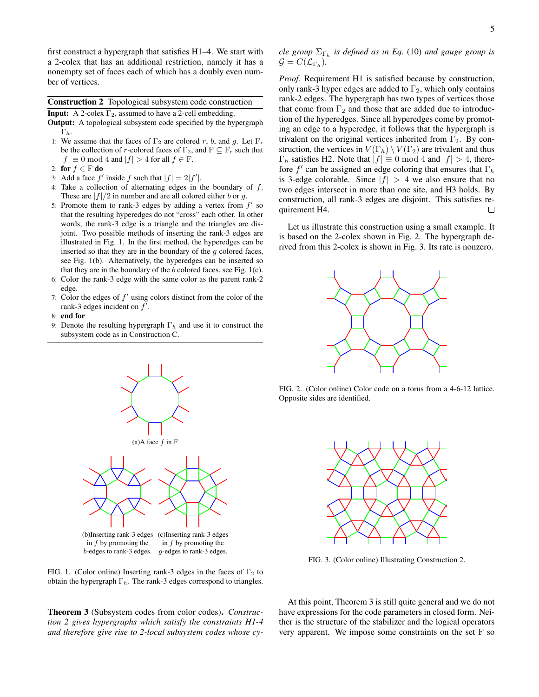first construct a hypergraph that satisfies H1–4. We start with a 2-colex that has an additional restriction, namely it has a nonempty set of faces each of which has a doubly even number of vertices.

Construction 2 Topological subsystem code construction

**Input:** A 2-colex  $\Gamma_2$ , assumed to have a 2-cell embedding.

- Output: A topological subsystem code specified by the hypergraph  $\Gamma_h$ .
- 1: We assume that the faces of  $\Gamma_2$  are colored r, b, and g. Let  $F_r$ be the collection of r-colored faces of  $\Gamma_2$ , and  $F \subseteq F_r$  such that  $|f| \equiv 0 \mod 4$  and  $|f| > 4$  for all  $f \in F$ .
- 2: for  $f \in F$  do
- 3: Add a face f' inside f such that  $|f| = 2|f'|$ .
- 4: Take a collection of alternating edges in the boundary of  $f$ . These are  $|f|/2$  in number and are all colored either b or g.
- 5: Promote them to rank-3 edges by adding a vertex from  $f'$  so that the resulting hyperedges do not "cross" each other. In other words, the rank-3 edge is a triangle and the triangles are disjoint. Two possible methods of inserting the rank-3 edges are illustrated in Fig. 1. In the first method, the hyperedges can be inserted so that they are in the boundary of the  $g$  colored faces, see Fig. 1(b). Alternatively, the hyperedges can be inserted so that they are in the boundary of the  $b$  colored faces, see Fig. 1(c).
- 6: Color the rank-3 edge with the same color as the parent rank-2 edge.
- 7: Color the edges of  $f'$  using colors distinct from the color of the rank-3 edges incident on  $\tilde{f}'$ .
- 8: end for
- 9: Denote the resulting hypergraph  $\Gamma_h$  and use it to construct the subsystem code as in Construction C.



5

*Proof.* Requirement H1 is satisfied because by construction, only rank-3 hyper edges are added to  $\Gamma_2$ , which only contains rank-2 edges. The hypergraph has two types of vertices those that come from  $\Gamma_2$  and those that are added due to introduction of the hyperedges. Since all hyperedges come by promoting an edge to a hyperedge, it follows that the hypergraph is trivalent on the original vertices inherited from  $\Gamma_2$ . By construction, the vertices in  $V(\Gamma_h) \setminus V(\Gamma_2)$  are trivalent and thus  $\Gamma_h$  satisfies H2. Note that  $|f| \equiv 0 \mod 4$  and  $|f| > 4$ , therefore  $f'$  can be assigned an edge coloring that ensures that  $\Gamma_h$ is 3-edge colorable. Since  $|f| > 4$  we also ensure that no two edges intersect in more than one site, and H3 holds. By construction, all rank-3 edges are disjoint. This satisfies requirement H4.  $\Box$ 

 $\mathcal{G}=C(\mathcal{L}_{\Gamma_h}).$ 

Let us illustrate this construction using a small example. It is based on the 2-colex shown in Fig. 2. The hypergraph derived from this 2-colex is shown in Fig. 3. Its rate is nonzero.



FIG. 2. (Color online) Color code on a torus from a 4-6-12 lattice. Opposite sides are identified.



FIG. 3. (Color online) Illustrating Construction 2.

obtain the hypergraph  $\Gamma_h$ . The rank-3 edges correspond to triangles.

b-edges to rank-3 edges. g-edges to rank-3 edges.

FIG. 1. (Color online) Inserting rank-3 edges in the faces of  $\Gamma_2$  to

(c)Inserting rank-3 edges in  $f$  by promoting the

(b)Inserting rank-3 edges in  $f$  by promoting the

Theorem 3 (Subsystem codes from color codes). *Construction 2 gives hypergraphs which satisfy the constraints H1-4 and therefore give rise to 2-local subsystem codes whose cy-*

At this point, Theorem 3 is still quite general and we do not have expressions for the code parameters in closed form. Neither is the structure of the stabilizer and the logical operators very apparent. We impose some constraints on the set F so



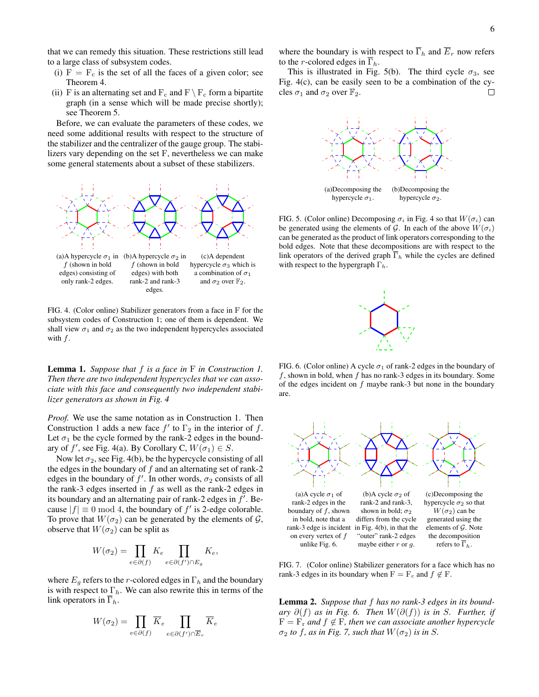that we can remedy this situation. These restrictions still lead to a large class of subsystem codes.

- (i)  $F = F_c$  is the set of all the faces of a given color; see Theorem 4.
- (ii) F is an alternating set and  $F_c$  and  $F \setminus F_c$  form a bipartite graph (in a sense which will be made precise shortly); see Theorem 5.

Before, we can evaluate the parameters of these codes, we need some additional results with respect to the structure of the stabilizer and the centralizer of the gauge group. The stabilizers vary depending on the set F, nevertheless we can make some general statements about a subset of these stabilizers.



 $f$  (shown in bold edges) consisting of only rank-2 edges.

(a)A hypercycle  $\sigma_1$  in (b)A hypercycle  $\sigma_2$  in  $f$  (shown in bold edges) with both rank-2 and rank-3 edges.

(c)A dependent hypercycle  $\sigma_3$  which is a combination of  $\sigma_1$ and  $\sigma_2$  over  $\mathbb{F}_2$ .

FIG. 4. (Color online) Stabilizer generators from a face in F for the subsystem codes of Construction 1; one of them is dependent. We shall view  $\sigma_1$  and  $\sigma_2$  as the two independent hypercycles associated with  $f$ .

Lemma 1. *Suppose that* f *is a face in* F *in Construction 1. Then there are two independent hypercycles that we can associate with this face and consequently two independent stabilizer generators as shown in Fig. 4*

*Proof.* We use the same notation as in Construction 1. Then Construction 1 adds a new face  $f'$  to  $\Gamma_2$  in the interior of f. Let  $\sigma_1$  be the cycle formed by the rank-2 edges in the boundary of  $f'$ , see Fig. 4(a). By Corollary C,  $W(\sigma_1) \in S$ .

Now let  $\sigma_2$ , see Fig. 4(b), be the hypercycle consisting of all the edges in the boundary of  $f$  and an alternating set of rank-2 edges in the boundary of  $f'$ . In other words,  $\sigma_2$  consists of all the rank-3 edges inserted in  $f$  as well as the rank-2 edges in its boundary and an alternating pair of rank-2 edges in  $f'$ . Because  $|f| \equiv 0 \mod 4$ , the boundary of  $f'$  is 2-edge colorable. To prove that  $W(\sigma_2)$  can be generated by the elements of  $\mathcal{G}$ , observe that  $W(\sigma_2)$  can be split as

$$
W(\sigma_2) = \prod_{e \in \partial(f)} K_e \prod_{e \in \partial(f') \cap E_g} K_e,
$$

where  $E<sub>g</sub>$  refers to the r-colored edges in  $\Gamma<sub>h</sub>$  and the boundary is with respect to  $\Gamma_h$ . We can also rewrite this in terms of the link operators in  $\overline{\Gamma}_h$ .

$$
W(\sigma_2) = \prod_{e \in \partial(f)} \overline{K}_e \prod_{e \in \partial(f') \cap \overline{E}_r} \overline{K}_e
$$

where the boundary is with respect to  $\overline{\Gamma}_h$  and  $\overline{E}_r$  now refers to the *r*-colored edges in  $\overline{\Gamma}_h$ .

This is illustrated in Fig. 5(b). The third cycle  $\sigma_3$ , see Fig. 4(c), can be easily seen to be a combination of the cycles  $\sigma_1$  and  $\sigma_2$  over  $\mathbb{F}_2$ .  $\Box$ 



FIG. 5. (Color online) Decomposing  $\sigma_i$  in Fig. 4 so that  $W(\sigma_i)$  can be generated using the elements of G. In each of the above  $W(\sigma_i)$ can be generated as the product of link operators corresponding to the bold edges. Note that these decompositions are with respect to the link operators of the derived graph  $\overline{\Gamma}_h$  while the cycles are defined with respect to the hypergraph  $\Gamma_h$ .



FIG. 6. (Color online) A cycle  $\sigma_1$  of rank-2 edges in the boundary of  $f$ , shown in bold, when  $f$  has no rank-3 edges in its boundary. Some of the edges incident on  $f$  maybe rank-3 but none in the boundary are.



(a)A cycle  $\sigma_1$  of rank-2 edges in the boundary of  $f$ , shown in bold, note that a rank-3 edge is incident on every vertex of  $f$ unlike Fig. 6.

rank-2 and rank-3, shown in bold;  $\sigma_2$ differs from the cycle in Fig. 4(b), in that the "outer" rank-2 edges maybe either  $r$  or  $q$ .

(c)Decomposing the hypercycle  $\sigma_2$  so that  $W(\sigma_2)$  can be generated using the elements of G. Note the decomposition refers to  $\overline{\Gamma}_h$ .

FIG. 7. (Color online) Stabilizer generators for a face which has no rank-3 edges in its boundary when  $F = F_c$  and  $f \notin F$ .

Lemma 2. *Suppose that* f *has no rank-3 edges in its boundary*  $\partial(f)$  *as in Fig. 6. Then*  $W(\partial(f))$  *is in S. Further, if*  $F = F_r$  *and*  $f \notin F$ *, then we can associate another hypercycle*  $\sigma_2$  *to* f, as in Fig. 7, such that  $W(\sigma_2)$  is in S.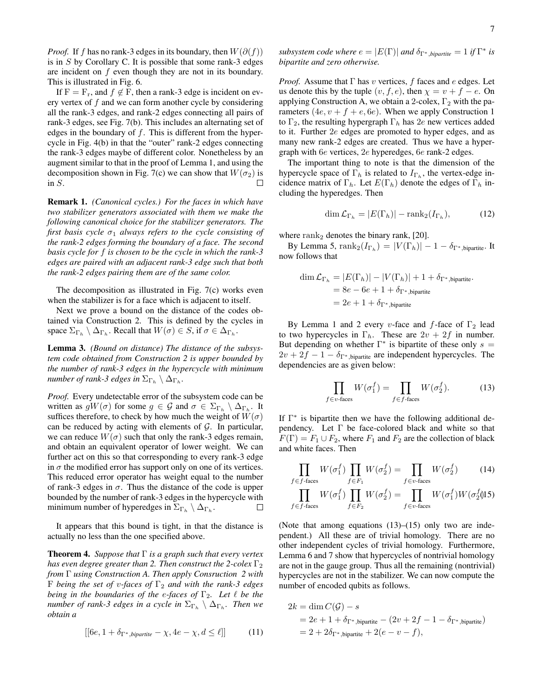*Proof.* If f has no rank-3 edges in its boundary, then  $W(\partial(f))$ is in  $S$  by Corollary C. It is possible that some rank-3 edges are incident on  $f$  even though they are not in its boundary. This is illustrated in Fig. 6.

If  $F = F_r$ , and  $f \notin F$ , then a rank-3 edge is incident on every vertex of  $f$  and we can form another cycle by considering all the rank-3 edges, and rank-2 edges connecting all pairs of rank-3 edges, see Fig. 7(b). This includes an alternating set of edges in the boundary of  $f$ . This is different from the hypercycle in Fig. 4(b) in that the "outer" rank-2 edges connecting the rank-3 edges maybe of different color. Nonetheless by an augment similar to that in the proof of Lemma 1, and using the decomposition shown in Fig. 7(c) we can show that  $W(\sigma_2)$  is in  $S$ .  $\Box$ 

Remark 1. *(Canonical cycles.) For the faces in which have two stabilizer generators associated with them we make the following canonical choice for the stabilizer generators. The first basis cycle*  $\sigma_1$  *always refers to the cycle consisting of the rank-2 edges forming the boundary of a face. The second basis cycle for* f *is chosen to be the cycle in which the rank-3 edges are paired with an adjacent rank-3 edge such that both the rank-2 edges pairing them are of the same color.*

The decomposition as illustrated in Fig. 7(c) works even when the stabilizer is for a face which is adjacent to itself.

Next we prove a bound on the distance of the codes obtained via Construction 2. This is defined by the cycles in space  $\Sigma_{\Gamma_h} \setminus \Delta_{\Gamma_h}$ . Recall that  $W(\sigma) \in S$ , if  $\sigma \in \Delta_{\Gamma_h}$ .

Lemma 3. *(Bound on distance) The distance of the subsystem code obtained from Construction 2 is upper bounded by the number of rank-3 edges in the hypercycle with minimum number of rank-3 edges in*  $\Sigma_{\Gamma_h} \setminus \Delta_{\Gamma_h}.$ 

*Proof.* Every undetectable error of the subsystem code can be written as  $gW(\sigma)$  for some  $g \in \mathcal{G}$  and  $\sigma \in \Sigma_{\Gamma_h} \setminus \Delta_{\Gamma_h}$ . It suffices therefore, to check by how much the weight of  $W(\sigma)$ can be reduced by acting with elements of  $G$ . In particular, we can reduce  $W(\sigma)$  such that only the rank-3 edges remain, and obtain an equivalent operator of lower weight. We can further act on this so that corresponding to every rank-3 edge in  $\sigma$  the modified error has support only on one of its vertices. This reduced error operator has weight equal to the number of rank-3 edges in  $\sigma$ . Thus the distance of the code is upper bounded by the number of rank-3 edges in the hypercycle with minimum number of hyperedges in  $\Sigma_{\Gamma_h} \setminus \Delta_{\Gamma_h}$ .  $\Box$ 

It appears that this bound is tight, in that the distance is actually no less than the one specified above.

Theorem 4. *Suppose that* Γ *is a graph such that every vertex has even degree greater than 2. Then construct the 2-colex*  $\Gamma_2$ *from* Γ *using Construction A. Then apply Consruction 2 with* F *being the set of* v*-faces of* Γ<sup>2</sup> *and with the rank-3 edges being in the boundaries of the e-faces of*  $\Gamma_2$ *. Let*  $\ell$  *be the number of rank-3 edges in a cycle in*  $\Sigma_{\Gamma_h} \setminus \Delta_{\Gamma_h}$ *. Then we obtain a*

$$
[[6e, 1 + \delta_{\Gamma^*, bipartite} - \chi, 4e - \chi, d \le \ell]] \tag{11}
$$

*subsystem code where*  $e = |E(\Gamma)|$  *and*  $\delta_{\Gamma^*,bipartite} = 1$  *if*  $\Gamma^*$  *is bipartite and zero otherwise.*

*Proof.* Assume that  $\Gamma$  has v vertices,  $f$  faces and  $e$  edges. Let us denote this by the tuple  $(v, f, e)$ , then  $\chi = v + f - e$ . On applying Construction A, we obtain a 2-colex,  $\Gamma_2$  with the parameters  $(4e, v + f + e, 6e)$ . When we apply Construction 1 to  $\Gamma_2$ , the resulting hypergraph  $\Gamma_h$  has 2e new vertices added to it. Further 2e edges are promoted to hyper edges, and as many new rank-2 edges are created. Thus we have a hypergraph with 6e vertices, 2e hyperedges, 6e rank-2 edges.

The important thing to note is that the dimension of the hypercycle space of  $\Gamma_h$  is related to  $I_{\Gamma_h}$ , the vertex-edge incidence matrix of  $\Gamma_h$ . Let  $E(\Gamma_h)$  denote the edges of  $\Gamma_h$  including the hyperedges. Then

$$
\dim \mathcal{L}_{\Gamma_h} = |E(\Gamma_h)| - \text{rank}_2(I_{\Gamma_h}),\tag{12}
$$

where  $\text{rank}_2$  denotes the binary rank, [20].

 $f$ 

By Lemma 5,  $\text{rank}_2(I_{\Gamma_h}) = |V(\Gamma_h)| - 1 - \delta_{\Gamma^*, \text{bipartite}}$ . It now follows that

$$
\dim \mathcal{L}_{\Gamma_h} = |E(\Gamma_h)| - |V(\Gamma_h)| + 1 + \delta_{\Gamma^*, \text{bipartite}}.
$$
  
= 8e - 6e + 1 +  $\delta_{\Gamma^*, \text{bipartite}}$   
= 2e + 1 +  $\delta_{\Gamma^*, \text{bipartite}}$ 

By Lemma 1 and 2 every v-face and f-face of  $\Gamma_2$  lead to two hypercycles in  $\Gamma_h$ . These are  $2v + 2f$  in number. But depending on whether  $\Gamma^*$  is bipartite of these only  $s =$  $2v + 2f - 1 - \delta_{\Gamma^*,\text{bipartite}}$  are independent hypercycles. The dependencies are as given below:

$$
\prod_{\epsilon v \text{-faces}} W(\sigma_1^f) = \prod_{f \in f \text{-faces}} W(\sigma_2^f). \tag{13}
$$

If  $\Gamma^*$  is bipartite then we have the following additional dependency. Let  $\Gamma$  be face-colored black and white so that  $F(\Gamma) = F_1 \cup F_2$ , where  $F_1$  and  $F_2$  are the collection of black and white faces. Then

$$
\prod_{f \in f\text{-faces}} W(\sigma_1^f) \prod_{f \in F_1} W(\sigma_2^f) = \prod_{f \in v\text{-faces}} W(\sigma_2^f)
$$
(14)  

$$
\prod_{f \in f\text{-faces}} W(\sigma_1^f) \prod_{f \in F_2} W(\sigma_2^f) = \prod_{f \in v\text{-faces}} W(\sigma_1^f) W(\sigma_2^f) 15
$$

(Note that among equations  $(13)$ – $(15)$  only two are independent.) All these are of trivial homology. There are no other independent cycles of trivial homology. Furthermore, Lemma 6 and 7 show that hypercycles of nontrivial homology are not in the gauge group. Thus all the remaining (nontrivial) hypercycles are not in the stabilizer. We can now compute the number of encoded qubits as follows.

$$
2k = \dim C(\mathcal{G}) - s
$$
  
= 2e + 1 + \delta\_{\Gamma^\*, \text{bipartite}} - (2v + 2f - 1 - \delta\_{\Gamma^\*, \text{bipartite}})  
= 2 + 2\delta\_{\Gamma^\*, \text{bipartite}} + 2(e - v - f),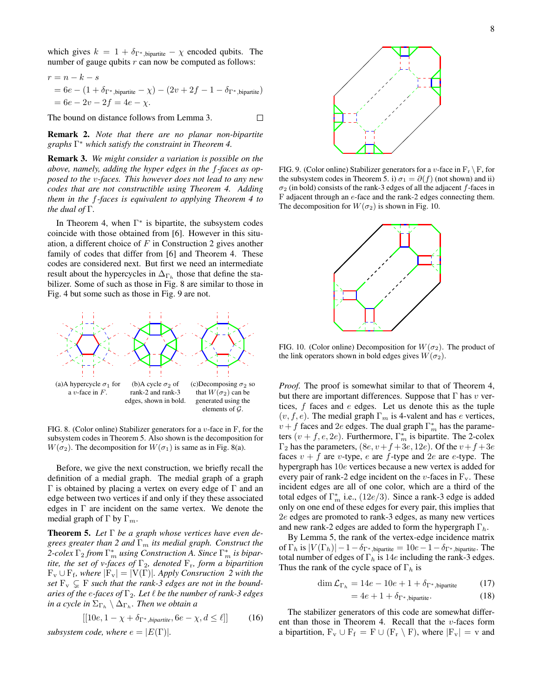which gives  $k = 1 + \delta_{\Gamma^*,\text{bipartite}} - \chi$  encoded qubits. The number of gauge qubits  $r$  can now be computed as follows:

$$
r = n - k - s
$$
  
= 6e - (1 + \delta\_{\Gamma^\*,\text{bipartite}} - \chi) - (2v + 2f - 1 - \delta\_{\Gamma^\*,\text{bipartite}})  
= 6e - 2v - 2f = 4e - \chi.

The bound on distance follows from Lemma 3.

Remark 2. *Note that there are no planar non-bipartite graphs* Γ <sup>∗</sup> *which satisfy the constraint in Theorem 4.*

 $\Box$ 

Remark 3. *We might consider a variation is possible on the above, namely, adding the hyper edges in the* f*-faces as opposed to the* v*-faces. This however does not lead to any new codes that are not constructible using Theorem 4. Adding them in the* f*-faces is equivalent to applying Theorem 4 to the dual of* Γ*.*

In Theorem 4, when  $\Gamma^*$  is bipartite, the subsystem codes coincide with those obtained from [6]. However in this situation, a different choice of  $F$  in Construction 2 gives another family of codes that differ from [6] and Theorem 4. These codes are considered next. But first we need an intermediate result about the hypercycles in  $\Delta_{\Gamma_h}$  those that define the stabilizer. Some of such as those in Fig. 8 are similar to those in Fig. 4 but some such as those in Fig. 9 are not.



FIG. 8. (Color online) Stabilizer generators for a  $v$ -face in F, for the subsystem codes in Theorem 5. Also shown is the decomposition for  $W(\sigma_2)$ . The decomposition for  $W(\sigma_1)$  is same as in Fig. 8(a).

Before, we give the next construction, we briefly recall the definition of a medial graph. The medial graph of a graph  $Γ$  is obtained by placing a vertex on every edge of  $Γ$  and an edge between two vertices if and only if they these associated edges in Γ are incident on the same vertex. We denote the medial graph of  $\Gamma$  by  $\Gamma_m$ .

Theorem 5. *Let* Γ *be a graph whose vertices have even degrees greater than 2 and* Γ<sup>m</sup> *its medial graph. Construct the*  $2$ -colex  $\Gamma_2$  *from*  $\Gamma_m^*$  using Construction A. Since  $\Gamma_m^*$  is bipar*tite, the set of v-faces of*  $\Gamma_2$ *, denoted*  $\Gamma_r$ *, form a bipartition*  $F_v \cup F_f$ , where  $|F_v| = |V(\Gamma)|$ . Apply Consruction 2 with the set  $F_v \subseteq F$  *such that the rank-3 edges are not in the boundaries of the* e*-faces of* Γ2*. Let* ℓ *be the number of rank-3 edges* in a cycle in  $\Sigma_{\Gamma_h} \setminus \Delta_{\Gamma_h}.$  Then we obtain a

$$
[[10e, 1 - \chi + \delta_{\Gamma^*, bipartite}, 6e - \chi, d \le \ell]] \tag{16}
$$

*subsystem code, where*  $e = |E(\Gamma)|$ *.* 



FIG. 9. (Color online) Stabilizer generators for a v-face in  $F_r \setminus F$ , for the subsystem codes in Theorem 5. i)  $\sigma_1 = \partial(f)$  (not shown) and ii)  $\sigma_2$  (in bold) consists of the rank-3 edges of all the adjacent f-faces in F adjacent through an e-face and the rank-2 edges connecting them. The decomposition for  $W(\sigma_2)$  is shown in Fig. 10.



FIG. 10. (Color online) Decomposition for  $W(\sigma_2)$ . The product of the link operators shown in bold edges gives  $W(\sigma_2)$ .

*Proof.* The proof is somewhat similar to that of Theorem 4, but there are important differences. Suppose that  $\Gamma$  has v vertices, f faces and e edges. Let us denote this as the tuple  $(v, f, e)$ . The medial graph  $\Gamma_m$  is 4-valent and has e vertices,  $v + f$  faces and 2e edges. The dual graph  $\Gamma_m^*$  has the parameters  $(v + f, e, 2e)$ . Furthermore,  $\Gamma_m^*$  is bipartite. The 2-colex  $\Gamma_2$  has the parameters,  $(8e, v+f+3e, 12e)$ . Of the  $v+f+3e$ faces  $v + f$  are v-type, e are f-type and 2e are e-type. The hypergraph has 10e vertices because a new vertex is added for every pair of rank-2 edge incident on the  $v$ -faces in  $F_v$ . These incident edges are all of one color, which are a third of the total edges of  $\Gamma_m^*$  i.e.,  $(12e/3)$ . Since a rank-3 edge is added only on one end of these edges for every pair, this implies that 2e edges are promoted to rank-3 edges, as many new vertices and new rank-2 edges are added to form the hypergraph  $\Gamma_h$ .

By Lemma 5, the rank of the vertex-edge incidence matrix of  $\Gamma_h$  is  $|V(\Gamma_h)| - 1 - \delta_{\Gamma^*}$ , bipartite =  $10e - 1 - \delta_{\Gamma^*}$ , bipartite. The total number of edges of  $\Gamma_h$  is 14e including the rank-3 edges. Thus the rank of the cycle space of  $\Gamma_h$  is

$$
\dim \mathcal{L}_{\Gamma_h} = 14e - 10e + 1 + \delta_{\Gamma^*, \text{bipartite}} \tag{17}
$$

$$
= 4e + 1 + \delta_{\Gamma^*,\text{bipartite}}.\tag{18}
$$

The stabilizer generators of this code are somewhat different than those in Theorem 4. Recall that the  $v$ -faces form a bipartition,  $F_v \cup F_f = F \cup (F_r \setminus F)$ , where  $|F_v| = v$  and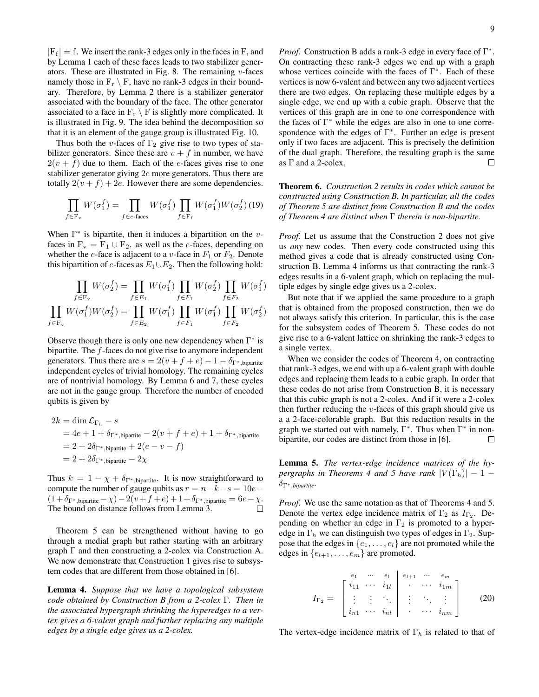$|F_f| = f$ . We insert the rank-3 edges only in the faces in F, and by Lemma 1 each of these faces leads to two stabilizer generators. These are illustrated in Fig. 8. The remaining  $v$ -faces namely those in  $F_r \setminus F$ , have no rank-3 edges in their boundary. Therefore, by Lemma 2 there is a stabilizer generator associated with the boundary of the face. The other generator associated to a face in  $F_r \setminus F$  is slightly more complicated. It is illustrated in Fig. 9. The idea behind the decomposition so that it is an element of the gauge group is illustrated Fig. 10.

Thus both the v-faces of  $\Gamma_2$  give rise to two types of stabilizer generators. Since these are  $v + f$  in number, we have  $2(v + f)$  due to them. Each of the *e*-faces gives rise to one stabilizer generator giving 2e more generators. Thus there are totally  $2(v + f) + 2e$ . However there are some dependencies.

$$
\prod_{f \in \mathcal{F}_\mathbf{v}} W(\sigma_1^f) = \prod_{f \in e\text{-faces}} W(\sigma_1^f) \prod_{f \in \mathcal{F}_f} W(\sigma_1^f) W(\sigma_2^f) (19)
$$

When  $\Gamma^*$  is bipartite, then it induces a bipartition on the vfaces in  $F_v = F_1 \cup F_2$ . as well as the *e*-faces, depending on whether the *e*-face is adjacent to a *v*-face in  $F_1$  or  $F_2$ . Denote this bipartition of e-faces as  $E_1 \cup E_2$ . Then the following hold:

$$
\prod_{f \in \mathcal{F}_v} W(\sigma_2^f) = \prod_{f \in E_1} W(\sigma_1^f) \prod_{f \in F_1} W(\sigma_2^f) \prod_{f \in F_2} W(\sigma_1^f)
$$
  

$$
\prod_{f \in \mathcal{F}_v} W(\sigma_1^f) W(\sigma_2^f) = \prod_{f \in E_2} W(\sigma_1^f) \prod_{f \in F_1} W(\sigma_1^f) \prod_{f \in F_2} W(\sigma_2^f)
$$

Observe though there is only one new dependency when  $\Gamma^*$  is bipartite. The  $f$ -faces do not give rise to anymore independent generators. Thus there are  $s = 2(v + f + e) - 1 - \delta_{\Gamma^*,\text{bipartite}}$ independent cycles of trivial homology. The remaining cycles are of nontrivial homology. By Lemma 6 and 7, these cycles are not in the gauge group. Therefore the number of encoded qubits is given by

$$
2k = \dim \mathcal{L}_{\Gamma_h} - s
$$
  
= 4e + 1 +  $\delta_{\Gamma^*,\text{bipartite}} - 2(v + f + e) + 1 + \delta_{\Gamma^*,\text{bipartite}}$   
= 2 + 2 $\delta_{\Gamma^*,\text{bipartite}} + 2(e - v - f)$   
= 2 + 2 $\delta_{\Gamma^*,\text{bipartite}} - 2\chi$ 

Thus  $k = 1 - \chi + \delta_{\Gamma^*,\text{bipartite}}$ . It is now straightforward to compute the number of gauge qubits as  $r = n-k-s = 10e (1+\delta_{\Gamma^*,\text{bipartite}} - \chi) - 2(v+f+e) + 1+\delta_{\Gamma^*,\text{bipartite}} = 6e - \chi.$ The bound on distance follows from Lemma 3.

Theorem 5 can be strengthened without having to go through a medial graph but rather starting with an arbitrary graph Γ and then constructing a 2-colex via Construction A. We now demonstrate that Construction 1 gives rise to subsystem codes that are different from those obtained in [6].

Lemma 4. *Suppose that we have a topological subsystem code obtained by Construction B from a 2-colex* Γ*. Then in the associated hypergraph shrinking the hyperedges to a vertex gives a 6-valent graph and further replacing any multiple edges by a single edge gives us a 2-colex.*

*Proof.* Construction B adds a rank-3 edge in every face of Γ<sup>\*</sup>. On contracting these rank-3 edges we end up with a graph whose vertices coincide with the faces of  $\Gamma^*$ . Each of these vertices is now 6-valent and between any two adjacent vertices there are two edges. On replacing these multiple edges by a single edge, we end up with a cubic graph. Observe that the vertices of this graph are in one to one correspondence with the faces of Γ <sup>∗</sup> while the edges are also in one to one correspondence with the edges of  $\Gamma^*$ . Further an edge is present only if two faces are adjacent. This is precisely the definition of the dual graph. Therefore, the resulting graph is the same as  $\Gamma$  and a 2-colex. □

Theorem 6. *Construction 2 results in codes which cannot be constructed using Construction B. In particular, all the codes of Theorem 5 are distinct from Construction B and the codes of Theorem 4 are distinct when* Γ *therein is non-bipartite.*

*Proof.* Let us assume that the Construction 2 does not give us *any* new codes. Then every code constructed using this method gives a code that is already constructed using Construction B. Lemma 4 informs us that contracting the rank-3 edges results in a 6-valent graph, which on replacing the multiple edges by single edge gives us a 2-colex.

But note that if we applied the same procedure to a graph that is obtained from the proposed construction, then we do not always satisfy this criterion. In particular, this is the case for the subsystem codes of Theorem 5. These codes do not give rise to a 6-valent lattice on shrinking the rank-3 edges to a single vertex.

When we consider the codes of Theorem 4, on contracting that rank-3 edges, we end with up a 6-valent graph with double edges and replacing them leads to a cubic graph. In order that these codes do not arise from Construction B, it is necessary that this cubic graph is not a 2-colex. And if it were a 2-colex then further reducing the  $v$ -faces of this graph should give us a a 2-face-colorable graph. But this reduction results in the graph we started out with namely,  $\Gamma^*$ . Thus when  $\Gamma^*$  in nonbipartite, our codes are distinct from those in [6].  $\Box$ 

Lemma 5. *The vertex-edge incidence matrices of the hypergraphs in Theorems 4 and 5 have rank*  $|V(\Gamma_h)| - 1$  – δΓ∗,*bipartite.*

*Proof.* We use the same notation as that of Theorems 4 and 5. Denote the vertex edge incidence matrix of  $\Gamma_2$  as  $I_{\Gamma_2}$ . Depending on whether an edge in  $\Gamma_2$  is promoted to a hyperedge in  $\Gamma_h$  we can distinguish two types of edges in  $\Gamma_2$ . Suppose that the edges in  $\{e_1, \ldots, e_l\}$  are not promoted while the edges in  $\{e_{l+1}, \ldots, e_m\}$  are promoted.

$$
I_{\Gamma_2} = \begin{bmatrix} e_1 & \cdots & e_l & e_{l+1} & \cdots & e_m \\ i_{11} & \cdots & i_{1l} & \cdots & i_{1m} \\ \vdots & \vdots & \ddots & \vdots & \ddots & \vdots \\ i_{n1} & \cdots & i_{nl} & \cdots & i_{nm} \end{bmatrix}
$$
 (20)

The vertex-edge incidence matrix of  $\Gamma_h$  is related to that of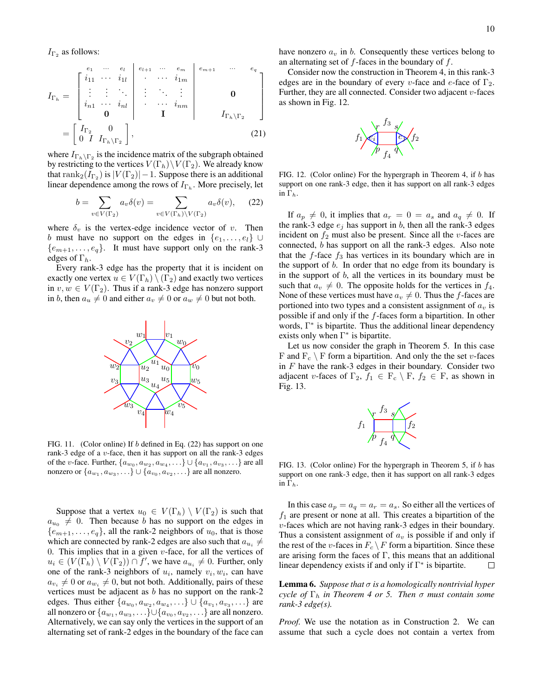$I_{\Gamma_2}$  as follows:

$$
I_{\Gamma_h} = \begin{bmatrix} e_1 & \cdots & e_l \\ i_{11} & \cdots & i_{1l} \\ \vdots & \vdots & \ddots & \vdots \\ i_{n1} & \cdots & i_{nl} \\ 0 & 0 & 0 \end{bmatrix} \begin{bmatrix} e_{l+1} & \cdots & e_m \\ \vdots & \ddots & \vdots \\ \vdots & \ddots & \vdots \\ \vdots & \ddots & \vdots \\ 0 & 0 & 0 \end{bmatrix}
$$

$$
= \begin{bmatrix} I_{\Gamma_2} & 0 \\ 0 & I & I_{\Gamma_h \backslash \Gamma_2} \end{bmatrix},
$$
(21)

where  $I_{\Gamma_h \backslash \Gamma_2}$  is the incidence matrix of the subgraph obtained by restricting to the vertices  $V(\Gamma_h)\backslash V(\Gamma_2)$ . We already know that  $\text{rank}_2(I_{\Gamma_2})$  is  $|V(\Gamma_2)|-1$ . Suppose there is an additional linear dependence among the rows of  $I_{\Gamma_h}$ . More precisely, let

$$
b = \sum_{v \in V(\Gamma_2)} a_v \delta(v) = \sum_{v \in V(\Gamma_h) \setminus V(\Gamma_2)} a_v \delta(v), \quad (22)
$$

where  $\delta_v$  is the vertex-edge incidence vector of v. Then b must have no support on the edges in  $\{e_1, \ldots, e_l\}$  ${e_{m+1}, \ldots, e_q}$ . It must have support only on the rank-3 edges of  $\Gamma_h$ .

Every rank-3 edge has the property that it is incident on exactly one vertex  $u \in V(\Gamma_h) \setminus (\Gamma_2)$  and exactly two vertices in  $v, w \in V(\Gamma_2)$ . Thus if a rank-3 edge has nonzero support in b, then  $a_u \neq 0$  and either  $a_v \neq 0$  or  $a_w \neq 0$  but not both.



FIG. 11. (Color online) If b defined in Eq. (22) has support on one rank-3 edge of a v-face, then it has support on all the rank-3 edges of the *v*-face. Further,  $\{a_{w_0}, a_{w_2}, a_{w_4}, \ldots\} \cup \{a_{v_1}, a_{v_3}, \ldots\}$  are all nonzero or  $\{a_{w_1}, a_{w_3}, \ldots\} \cup \{a_{v_0}, a_{v_2}, \ldots\}$  are all nonzero.

Suppose that a vertex  $u_0 \in V(\Gamma_h) \setminus V(\Gamma_2)$  is such that  $a_{u_0} \neq 0$ . Then because b has no support on the edges in  $\{e_{m+1}, \ldots, e_q\}$ , all the rank-2 neighbors of  $u_0$ , that is those which are connected by rank-2 edges are also such that  $a_{u_i} \neq$ 0. This implies that in a given  $v$ -face, for all the vertices of  $u_i \in (V(\Gamma_h) \setminus V(\Gamma_2)) \cap f'$ , we have  $a_{u_i} \neq 0$ . Further, only one of the rank-3 neighbors of  $u_i$ , namely  $v_i, w_i$ , can have  $a_{v_i} \neq 0$  or  $a_{w_i} \neq 0$ , but not both. Additionally, pairs of these vertices must be adjacent as b has no support on the rank-2 edges. Thus either  $\{a_{w_0}, a_{w_2}, a_{w_4}, \ldots\} \cup \{a_{v_1}, a_{v_3}, \ldots\}$  are all nonzero or  $\{a_{w_1}, a_{w_3}, \ldots\} \cup \{a_{v_0}, a_{v_2}, \ldots\}$  are all nonzero. Alternatively, we can say only the vertices in the support of an alternating set of rank-2 edges in the boundary of the face can

have nonzero  $a_v$  in b. Consequently these vertices belong to an alternating set of  $f$ -faces in the boundary of  $f$ .

Consider now the construction in Theorem 4, in this rank-3 edges are in the boundary of every v-face and e-face of  $\Gamma_2$ . Further, they are all connected. Consider two adjacent  $v$ -faces as shown in Fig. 12.



FIG. 12. (Color online) For the hypergraph in Theorem 4, if b has support on one rank-3 edge, then it has support on all rank-3 edges in  $\Gamma_h$ .

If  $a_p \neq 0$ , it implies that  $a_r = 0 = a_s$  and  $a_q \neq 0$ . If the rank-3 edge  $e_j$  has support in b, then all the rank-3 edges incident on  $f_2$  must also be present. Since all the *v*-faces are connected, b has support on all the rank-3 edges. Also note that the  $f$ -face  $f_3$  has vertices in its boundary which are in the support of  $b$ . In order that no edge from its boundary is in the support of  $b$ , all the vertices in its boundary must be such that  $a_v \neq 0$ . The opposite holds for the vertices in  $f_4$ . None of these vertices must have  $a_v \neq 0$ . Thus the f-faces are portioned into two types and a consistent assignment of  $a<sub>v</sub>$  is possible if and only if the f-faces form a bipartition. In other words, Γ<sup>\*</sup> is bipartite. Thus the additional linear dependency exists only when  $\Gamma^*$  is bipartite.

Let us now consider the graph in Theorem 5. In this case F and  $F_c \setminus F$  form a bipartition. And only the the set v-faces in  $F$  have the rank-3 edges in their boundary. Consider two adjacent v-faces of  $\Gamma_2$ ,  $f_1 \in \mathbb{F}_c \setminus \mathbb{F}$ ,  $f_2 \in \mathbb{F}$ , as shown in Fig. 13.



FIG. 13. (Color online) For the hypergraph in Theorem 5, if b has support on one rank-3 edge, then it has support on all rank-3 edges in  $\Gamma_h.$ 

In this case  $a_p = a_q = a_r = a_s$ . So either all the vertices of  $f_1$  are present or none at all. This creates a bipartition of the v-faces which are not having rank-3 edges in their boundary. Thus a consistent assignment of  $a<sub>v</sub>$  is possible if and only if the rest of the v-faces in  $F_c \backslash F$  form a bipartition. Since these are arising form the faces of  $\Gamma$ , this means that an additional linear dependency exists if and only if  $\Gamma^*$  is bipartite.  $\Box$ 

Lemma 6. *Suppose that* σ *is a homologically nontrivial hyper cycle of*  $\Gamma_h$  *in Theorem 4 or 5. Then*  $\sigma$  *must contain some rank-3 edge(s).*

*Proof.* We use the notation as in Construction 2. We can assume that such a cycle does not contain a vertex from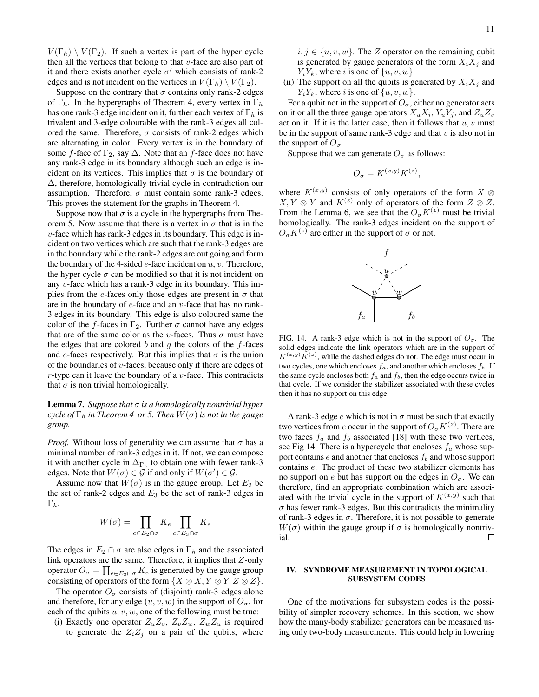$V(\Gamma_h) \setminus V(\Gamma_2)$ . If such a vertex is part of the hyper cycle then all the vertices that belong to that  $v$ -face are also part of it and there exists another cycle  $\sigma'$  which consists of rank-2 edges and is not incident on the vertices in  $V(\Gamma_h) \setminus V(\Gamma_2)$ .

Suppose on the contrary that  $\sigma$  contains only rank-2 edges of  $\Gamma_h$ . In the hypergraphs of Theorem 4, every vertex in  $\Gamma_h$ has one rank-3 edge incident on it, further each vertex of  $\Gamma_h$  is trivalent and 3-edge colourable with the rank-3 edges all colored the same. Therefore,  $\sigma$  consists of rank-2 edges which are alternating in color. Every vertex is in the boundary of some f-face of  $\Gamma_2$ , say  $\Delta$ . Note that an f-face does not have any rank-3 edge in its boundary although such an edge is incident on its vertices. This implies that  $\sigma$  is the boundary of ∆, therefore, homologically trivial cycle in contradiction our assumption. Therefore,  $\sigma$  must contain some rank-3 edges. This proves the statement for the graphs in Theorem 4.

Suppose now that  $\sigma$  is a cycle in the hypergraphs from Theorem 5. Now assume that there is a vertex in  $\sigma$  that is in the  $v$ -face which has rank-3 edges in its boundary. This edge is incident on two vertices which are such that the rank-3 edges are in the boundary while the rank-2 edges are out going and form the boundary of the 4-sided  $e$ -face incident on  $u, v$ . Therefore, the hyper cycle  $\sigma$  can be modified so that it is not incident on any v-face which has a rank-3 edge in its boundary. This implies from the e-faces only those edges are present in  $\sigma$  that are in the boundary of  $e$ -face and an  $v$ -face that has no rank-3 edges in its boundary. This edge is also coloured same the color of the f-faces in  $\Gamma_2$ . Further  $\sigma$  cannot have any edges that are of the same color as the v-faces. Thus  $\sigma$  must have the edges that are colored b and g the colors of the  $f$ -faces and e-faces respectively. But this implies that  $\sigma$  is the union of the boundaries of  $v$ -faces, because only if there are edges of r-type can it leave the boundary of a  $v$ -face. This contradicts that  $\sigma$  is non trivial homologically. П

Lemma 7. *Suppose that* σ *is a homologically nontrivial hyper cycle of*  $\Gamma_h$  *in Theorem 4 or 5. Then*  $W(\sigma)$  *is not in the gauge group.*

*Proof.* Without loss of generality we can assume that  $\sigma$  has a minimal number of rank-3 edges in it. If not, we can compose it with another cycle in  $\Delta_{\Gamma_h}$  to obtain one with fewer rank-3 edges. Note that  $W(\sigma) \in \mathcal{G}$  if and only if  $W(\sigma') \in \mathcal{G}$ .

Assume now that  $W(\sigma)$  is in the gauge group. Let  $E_2$  be the set of rank-2 edges and  $E_3$  be the set of rank-3 edges in  $\Gamma_h$ .

$$
W(\sigma) = \prod_{e \in E_2 \cap \sigma} K_e \prod_{e \in E_3 \cap \sigma} K_e
$$

The edges in  $E_2 \cap \sigma$  are also edges in  $\Gamma_h$  and the associated link operators are the same. Therefore, it implies that Z-only operator  $O_{\sigma} = \prod_{e \in E_3 \cap \sigma} K_e$  is generated by the gauge group consisting of operators of the form  $\{X \otimes X, Y \otimes Y, Z \otimes Z\}$ .

The operator  $O_{\sigma}$  consists of (disjoint) rank-3 edges alone and therefore, for any edge  $(u, v, w)$  in the support of  $O_{\sigma}$ , for each of the qubits  $u, v, w$ , one of the following must be true:

(i) Exactly one operator  $Z_u Z_v$ ,  $Z_v Z_w$ ,  $Z_w Z_u$  is required to generate the  $Z_i Z_j$  on a pair of the qubits, where

 $i, j \in \{u, v, w\}$ . The Z operator on the remaining qubit is generated by gauge generators of the form  $X_i X_j$  and  $Y_iY_k$ , where i is one of  $\{u, v, w\}$ 

(ii) The support on all the qubits is generated by  $X_i X_j$  and  $Y_iY_k$ , where i is one of  $\{u, v, w\}.$ 

For a qubit not in the support of  $O_{\sigma}$ , either no generator acts on it or all the three gauge operators  $X_u X_i$ ,  $Y_u Y_j$ , and  $Z_u Z_v$ act on it. If it is the latter case, then it follows that  $u, v$  must be in the support of same rank-3 edge and that  $v$  is also not in the support of  $O_{\sigma}$ .

Suppose that we can generate  $O_{\sigma}$  as follows:

$$
O_{\sigma} = K^{(x,y)}K^{(z)},
$$

where  $K^{(x,y)}$  consists of only operators of the form  $X \otimes$  $X, Y \otimes Y$  and  $K^{(z)}$  only of operators of the form  $Z \otimes Z$ . From the Lemma 6, we see that the  $O_{\sigma} K^{(z)}$  must be trivial homologically. The rank-3 edges incident on the support of  $O_{\sigma} K^{(z)}$  are either in the support of  $\sigma$  or not.



FIG. 14. A rank-3 edge which is not in the support of  $O_{\sigma}$ . The solid edges indicate the link operators which are in the support of  $K^{(x,y)}K^{(z)}$ , while the dashed edges do not. The edge must occur in two cycles, one which encloses  $f_a$ , and another which encloses  $f_b$ . If the same cycle encloses both  $f_a$  and  $f_b$ , then the edge occurs twice in that cycle. If we consider the stabilizer associated with these cycles then it has no support on this edge.

A rank-3 edge e which is not in  $\sigma$  must be such that exactly two vertices from e occur in the support of  $O_{\sigma} K^{(z)}$ . There are two faces  $f_a$  and  $f_b$  associated [18] with these two vertices, see Fig 14. There is a hypercycle that encloses  $f_a$  whose support contains  $e$  and another that encloses  $f_b$  and whose support contains e. The product of these two stabilizer elements has no support on e but has support on the edges in  $O_{\sigma}$ . We can therefore, find an appropriate combination which are associated with the trivial cycle in the support of  $K^{(x,y)}$  such that  $\sigma$  has fewer rank-3 edges. But this contradicts the minimality of rank-3 edges in  $\sigma$ . Therefore, it is not possible to generate  $W(\sigma)$  within the gauge group if  $\sigma$  is homologically nontrivial.  $\Box$ 

## IV. SYNDROME MEASUREMENT IN TOPOLOGICAL SUBSYSTEM CODES

One of the motivations for subsystem codes is the possibility of simpler recovery schemes. In this section, we show how the many-body stabilizer generators can be measured using only two-body measurements. This could help in lowering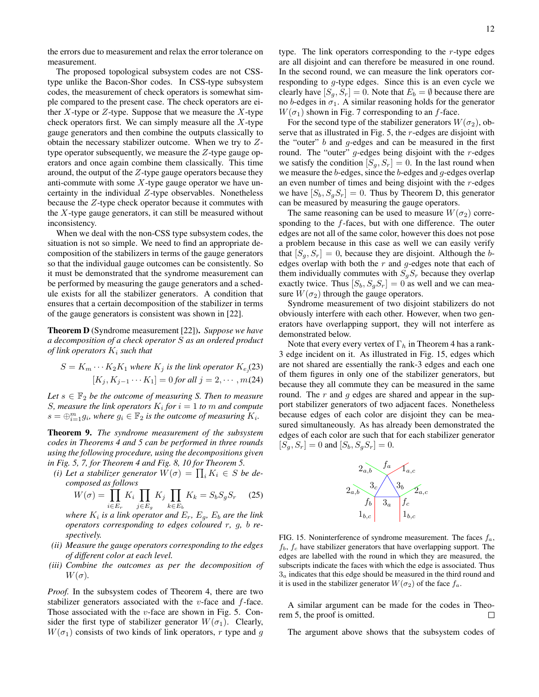the errors due to measurement and relax the error tolerance on measurement.

The proposed topological subsystem codes are not CSStype unlike the Bacon-Shor codes. In CSS-type subsystem codes, the measurement of check operators is somewhat simple compared to the present case. The check operators are either  $X$ -type or  $Z$ -type. Suppose that we measure the  $X$ -type check operators first. We can simply measure all the  $X$ -type gauge generators and then combine the outputs classically to obtain the necessary stabilizer outcome. When we try to Ztype operator subsequently, we measure the Z-type gauge operators and once again combine them classically. This time around, the output of the Z-type gauge operators because they anti-commute with some  $X$ -type gauge operator we have uncertainty in the individual Z-type observables. Nonetheless because the Z-type check operator because it commutes with the  $X$ -type gauge generators, it can still be measured without inconsistency.

When we deal with the non-CSS type subsystem codes, the situation is not so simple. We need to find an appropriate decomposition of the stabilizers in terms of the gauge generators so that the individual gauge outcomes can be consistently. So it must be demonstrated that the syndrome measurement can be performed by measuring the gauge generators and a schedule exists for all the stabilizer generators. A condition that ensures that a certain decomposition of the stabilizer in terms of the gauge generators is consistent was shown in [22].

Theorem D (Syndrome measurement [22]). *Suppose we have a decomposition of a check operator* S *as an ordered product of link operators*  $K_i$  *such that* 

$$
S = K_m \cdots K_2 K_1 \text{ where } K_j \text{ is the link operator } K_{e_j}(23)
$$

$$
[K_j, K_{j-1} \cdots K_1] = 0 \text{ for all } j = 2, \cdots, m(24)
$$

*Let*  $s \in \mathbb{F}_2$  *be the outcome of measuring S. Then to measure*  $S$ , measure the link operators  $K_i$  for  $i = 1$  to  $m$  and compute  $s = \bigoplus_{i=1}^{m} g_i$ , where  $g_i \in \mathbb{F}_2$  is the outcome of measuring  $K_i$ .

Theorem 9. *The syndrome measurement of the subsystem codes in Theorems 4 and 5 can be performed in three rounds using the following procedure, using the decompositions given in Fig. 5, 7, for Theorem 4 and Fig. 8, 10 for Theorem 5.*

(*i*) Let a stabilizer generator  $W(\sigma) = \prod_i K_i \in S$  be de*composed as follows*

$$
W(\sigma) = \prod_{i \in E_r} K_i \prod_{j \in E_g} K_j \prod_{k \in E_b} K_k = S_b S_g S_r \quad (25)
$$

where  $K_i$  is a link operator and  $E_r$ ,  $E_g$ ,  $E_b$  are the link *operators corresponding to edges coloured* r*,* g*,* b *respectively.*

- *(ii) Measure the gauge operators corresponding to the edges of different color at each level.*
- *(iii) Combine the outcomes as per the decomposition of*  $W(\sigma)$ .

*Proof.* In the subsystem codes of Theorem 4, there are two stabilizer generators associated with the  $v$ -face and  $f$ -face. Those associated with the  $v$ -face are shown in Fig. 5. Consider the first type of stabilizer generator  $W(\sigma_1)$ . Clearly,  $W(\sigma_1)$  consists of two kinds of link operators, r type and g

type. The link operators corresponding to the  $r$ -type edges are all disjoint and can therefore be measured in one round. In the second round, we can measure the link operators corresponding to g-type edges. Since this is an even cycle we clearly have  $[S_q, S_r] = 0$ . Note that  $E_b = \emptyset$  because there are no b-edges in  $\sigma_1$ . A similar reasoning holds for the generator  $W(\sigma_1)$  shown in Fig. 7 corresponding to an f-face.

For the second type of the stabilizer generators  $W(\sigma_2)$ , observe that as illustrated in Fig. 5, the r-edges are disjoint with the "outer"  $b$  and  $g$ -edges and can be measured in the first round. The "outer"  $g$ -edges being disjoint with the  $r$ -edges we satisfy the condition  $[S_g, S_r] = 0$ . In the last round when we measure the  $b$ -edges, since the  $b$ -edges and  $g$ -edges overlap an even number of times and being disjoint with the  $r$ -edges we have  $[S_b, S_a S_r] = 0$ . Thus by Theorem D, this generator can be measured by measuring the gauge operators.

The same reasoning can be used to measure  $W(\sigma_2)$  corresponding to the f-faces, but with one difference. The outer edges are not all of the same color, however this does not pose a problem because in this case as well we can easily verify that  $[S_q, S_r] = 0$ , because they are disjoint. Although the bedges overlap with both the  $r$  and  $g$ -edges note that each of them individually commutes with  $S_gS_r$  because they overlap exactly twice. Thus  $[S_b, S_g S_r] = 0$  as well and we can measure  $W(\sigma_2)$  through the gauge operators.

Syndrome measurement of two disjoint stabilizers do not obviously interfere with each other. However, when two generators have overlapping support, they will not interfere as demonstrated below.

Note that every every vertex of  $\Gamma_h$  in Theorem 4 has a rank-3 edge incident on it. As illustrated in Fig. 15, edges which are not shared are essentially the rank-3 edges and each one of them figures in only one of the stabilizer generators, but because they all commute they can be measured in the same round. The r and q edges are shared and appear in the support stabilizer generators of two adjacent faces. Nonetheless because edges of each color are disjoint they can be measured simultaneously. As has already been demonstrated the edges of each color are such that for each stabilizer generator  $[S_g, S_r] = 0$  and  $[S_b, S_g S_r] = 0$ .



FIG. 15. Noninterference of syndrome measurement. The faces  $f_a$ ,  $f<sub>b</sub>$ ,  $f<sub>c</sub>$  have stabilizer generators that have overlapping support. The edges are labelled with the round in which they are measured, the subscripts indicate the faces with which the edge is associated. Thus  $3<sub>a</sub>$  indicates that this edge should be measured in the third round and it is used in the stabilizer generator  $W(\sigma_2)$  of the face  $f_a$ .

A similar argument can be made for the codes in Theorem 5, the proof is omitted.  $\Box$ 

The argument above shows that the subsystem codes of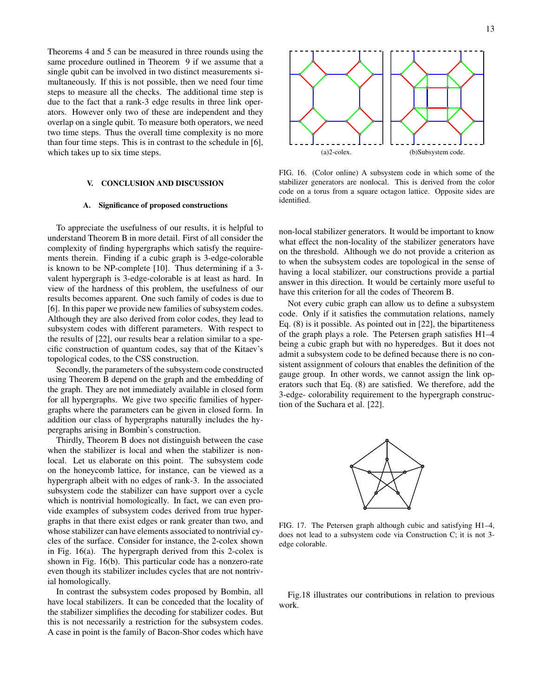Theorems 4 and 5 can be measured in three rounds using the same procedure outlined in Theorem 9 if we assume that a single qubit can be involved in two distinct measurements simultaneously. If this is not possible, then we need four time steps to measure all the checks. The additional time step is due to the fact that a rank-3 edge results in three link operators. However only two of these are independent and they overlap on a single qubit. To measure both operators, we need two time steps. Thus the overall time complexity is no more than four time steps. This is in contrast to the schedule in [6], which takes up to six time steps.

## V. CONCLUSION AND DISCUSSION

#### A. Significance of proposed constructions

To appreciate the usefulness of our results, it is helpful to understand Theorem B in more detail. First of all consider the complexity of finding hypergraphs which satisfy the requirements therein. Finding if a cubic graph is 3-edge-colorable is known to be NP-complete [10]. Thus determining if a 3 valent hypergraph is 3-edge-colorable is at least as hard. In view of the hardness of this problem, the usefulness of our results becomes apparent. One such family of codes is due to [6]. In this paper we provide new families of subsystem codes. Although they are also derived from color codes, they lead to subsystem codes with different parameters. With respect to the results of [22], our results bear a relation similar to a specific construction of quantum codes, say that of the Kitaev's topological codes, to the CSS construction.

Secondly, the parameters of the subsystem code constructed using Theorem B depend on the graph and the embedding of the graph. They are not immediately available in closed form for all hypergraphs. We give two specific families of hypergraphs where the parameters can be given in closed form. In addition our class of hypergraphs naturally includes the hypergraphs arising in Bombin's construction.

Thirdly, Theorem B does not distinguish between the case when the stabilizer is local and when the stabilizer is nonlocal. Let us elaborate on this point. The subsystem code on the honeycomb lattice, for instance, can be viewed as a hypergraph albeit with no edges of rank-3. In the associated subsystem code the stabilizer can have support over a cycle which is nontrivial homologically. In fact, we can even provide examples of subsystem codes derived from true hypergraphs in that there exist edges or rank greater than two, and whose stabilizer can have elements associated to nontrivial cycles of the surface. Consider for instance, the 2-colex shown in Fig. 16(a). The hypergraph derived from this 2-colex is shown in Fig. 16(b). This particular code has a nonzero-rate even though its stabilizer includes cycles that are not nontrivial homologically.

In contrast the subsystem codes proposed by Bombin, all have local stabilizers. It can be conceded that the locality of the stabilizer simplifies the decoding for stabilizer codes. But this is not necessarily a restriction for the subsystem codes. A case in point is the family of Bacon-Shor codes which have



FIG. 16. (Color online) A subsystem code in which some of the stabilizer generators are nonlocal. This is derived from the color code on a torus from a square octagon lattice. Opposite sides are identified.

non-local stabilizer generators. It would be important to know what effect the non-locality of the stabilizer generators have on the threshold. Although we do not provide a criterion as to when the subsystem codes are topological in the sense of having a local stabilizer, our constructions provide a partial answer in this direction. It would be certainly more useful to have this criterion for all the codes of Theorem B.

Not every cubic graph can allow us to define a subsystem code. Only if it satisfies the commutation relations, namely Eq. (8) is it possible. As pointed out in [22], the bipartiteness of the graph plays a role. The Petersen graph satisfies H1–4 being a cubic graph but with no hyperedges. But it does not admit a subsystem code to be defined because there is no consistent assignment of colours that enables the definition of the gauge group. In other words, we cannot assign the link operators such that Eq. (8) are satisfied. We therefore, add the 3-edge- colorability requirement to the hypergraph construction of the Suchara et al. [22].



FIG. 17. The Petersen graph although cubic and satisfying H1–4, does not lead to a subsystem code via Construction C; it is not 3 edge colorable.

Fig.18 illustrates our contributions in relation to previous work.